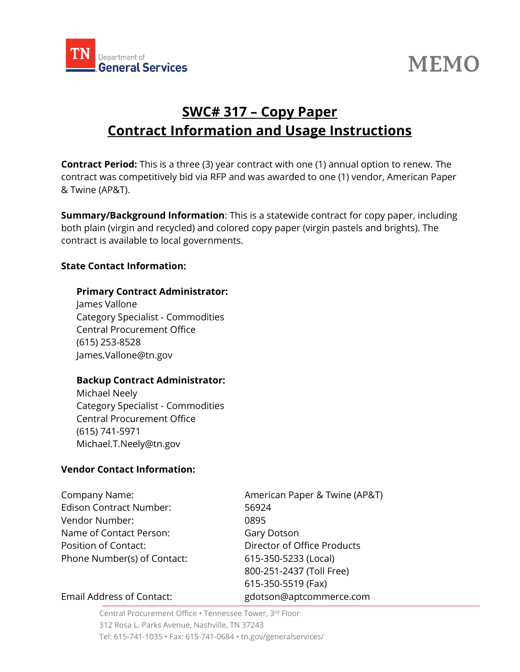

# **MEMO**

## **SWC# 317 – Copy Paper Contract Information and Usage Instructions**

**Contract Period:** This is a three (3) year contract with one (1) annual option to renew. The contract was competitively bid via RFP and was awarded to one (1) vendor, American Paper & Twine (AP&T).

**Summary/Background Information**: This is a statewide contract for copy paper, including both plain (virgin and recycled) and colored copy paper (virgin pastels and brights). The contract is available to local governments.

#### **State Contact Information:**

#### **Primary Contract Administrator:**

James Vallone Category Specialist - Commodities Central Procurement Office (615) 253-8528 James.Vallone@tn.gov

#### **Backup Contract Administrator:**

Michael Neely Category Specialist - Commodities Central Procurement Office (615) 741-5971 Michael.T.Neely@tn.gov

#### **Vendor Contact Information:**

Edison Contract Number: 56924 Vendor Number: 0895 Name of Contact Person: Gary Dotson Position of Contact: Director of Office Products Phone Number(s) of Contact: 615-350-5233 (Local)

Company Name:  $\blacksquare$  American Paper & Twine (AP&T) 800-251-2437 (Toll Free) 615-350-5519 (Fax)

#### Email Address of Contact: gdotson@aptcommerce.com

Central Procurement Office • Tennessee Tower, 3 rd Floor 312 Rosa L. Parks Avenue, Nashville, TN 37243 Tel: 615-741-1035 • Fax: 615-741-0684 • tn.gov/generalservices/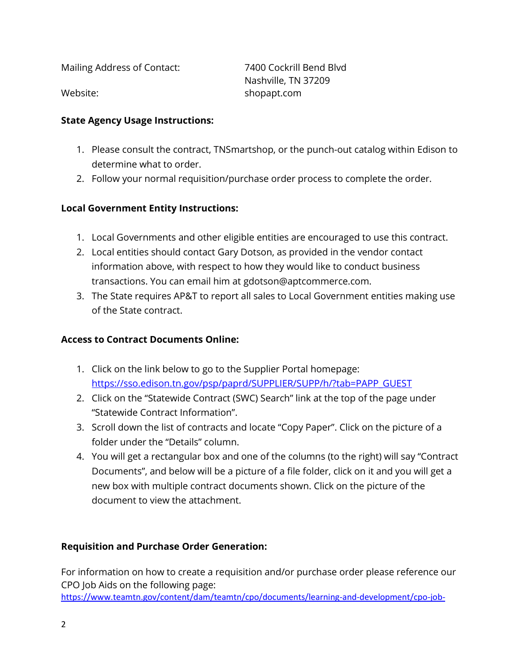Mailing Address of Contact: 7400 Cockrill Bend Blvd

Nashville, TN 37209 Website: when the shopapt.com

#### **State Agency Usage Instructions:**

- 1. Please consult the contract, TNSmartshop, or the punch-out catalog within Edison to determine what to order.
- 2. Follow your normal requisition/purchase order process to complete the order.

#### **Local Government Entity Instructions:**

- 1. Local Governments and other eligible entities are encouraged to use this contract.
- 2. Local entities should contact Gary Dotson, as provided in the vendor contact information above, with respect to how they would like to conduct business transactions. You can email him at gdotson@aptcommerce.com.
- 3. The State requires AP&T to report all sales to Local Government entities making use of the State contract.

#### **Access to Contract Documents Online:**

- 1. Click on the link below to go to the Supplier Portal homepage: [https://sso.edison.tn.gov/psp/paprd/SUPPLIER/SUPP/h/?tab=PAPP\\_GUEST](https://sso.edison.tn.gov/psp/paprd/SUPPLIER/SUPP/h/?tab=PAPP_GUEST)
- 2. Click on the "Statewide Contract (SWC) Search" link at the top of the page under "Statewide Contract Information".
- 3. Scroll down the list of contracts and locate "Copy Paper". Click on the picture of a folder under the "Details" column.
- 4. You will get a rectangular box and one of the columns (to the right) will say "Contract Documents", and below will be a picture of a file folder, click on it and you will get a new box with multiple contract documents shown. Click on the picture of the document to view the attachment.

#### **Requisition and Purchase Order Generation:**

For information on how to create a requisition and/or purchase order please reference our CPO Job Aids on the following page:

[https://www.teamtn.gov/content/dam/teamtn/cpo/documents/learning-and-development/cpo-job-](https://www.teamtn.gov/content/dam/teamtn/cpo/documents/learning-and-development/cpo-job-aid/Doc%20Type%20Job%20Aid.pdf)